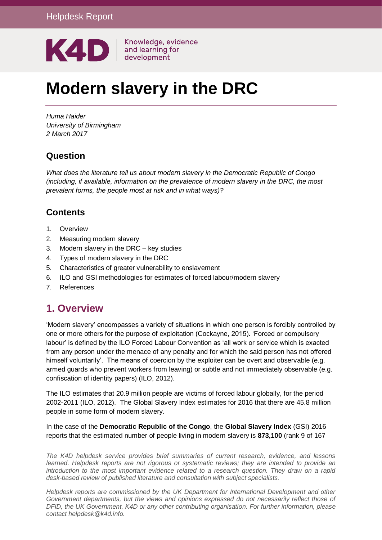

# **Modern slavery in the DRC**

*Huma Haider University of Birmingham 2 March 2017* 

# **Question**

*What does the literature tell us about modern slavery in the Democratic Republic of Congo (including, if available, information on the prevalence of modern slavery in the DRC, the most prevalent forms, the people most at risk and in what ways)?*

# **Contents**

- 1. [Overview](#page-0-0)
- 2. [Measuring modern slavery](#page-3-0)
- 3. [Modern slavery in the DRC –](#page-4-0) key studies
- 4. [Types of modern slavery in the DRC](#page-8-0)
- 5. [Characteristics of greater vulnerability to enslavement](#page-15-0)
- 6. [ILO and GSI methodologies for estimates of forced labour/modern slavery](#page-15-1)
- 7. [References](#page-16-0)

# <span id="page-0-0"></span>**1. Overview**

'Modern slavery' encompasses a variety of situations in which one person is forcibly controlled by one or more others for the purpose of exploitation (Cockayne, 2015). 'Forced or compulsory labour' is defined by the ILO Forced Labour Convention as 'all work or service which is exacted from any person under the menace of any penalty and for which the said person has not offered himself voluntarily'. The means of coercion by the exploiter can be overt and observable (e.g. armed guards who prevent workers from leaving) or subtle and not immediately observable (e.g. confiscation of identity papers) (ILO, 2012).

The ILO estimates that 20.9 million people are victims of forced labour globally, for the period 2002-2011 (ILO, 2012). The Global Slavery Index estimates for 2016 that there are 45.8 million people in some form of modern slavery.

In the case of the **Democratic Republic of the Congo**, the **Global Slavery Index** (GSI) 2016 reports that the estimated number of people living in modern slavery is **873,100** (rank 9 of 167

*The K4D helpdesk service provides brief summaries of current research, evidence, and lessons learned. Helpdesk reports are not rigorous or systematic reviews; they are intended to provide an introduction to the most important evidence related to a research question. They draw on a rapid desk-based review of published literature and consultation with subject specialists.* 

*Helpdesk reports are commissioned by the UK Department for International Development and other*  Government departments, but the views and opinions expressed do not necessarily reflect those of *DFID, the UK Government, K4D or any other contributing organisation. For further information, please contact helpdesk@k4d.info.*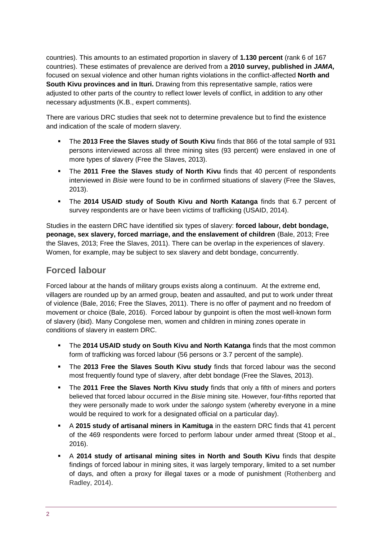countries). This amounts to an estimated proportion in slavery of **1.130 percent** (rank 6 of 167 countries). These estimates of prevalence are derived from a **2010 survey, published in** *JAMA,* focused on sexual violence and other human rights violations in the conflict-affected **North and South Kivu provinces and in Ituri.** Drawing from this representative sample, ratios were adjusted to other parts of the country to reflect lower levels of conflict, in addition to any other necessary adjustments (K.B., expert comments).

There are various DRC studies that seek not to determine prevalence but to find the existence and indication of the scale of modern slavery.

- The **2013 Free the Slaves study of South Kivu** finds that 866 of the total sample of 931 persons interviewed across all three mining sites (93 percent) were enslaved in one of more types of slavery (Free the Slaves, 2013).
- The **2011 Free the Slaves study of North Kivu** finds that 40 percent of respondents interviewed in *Bisie* were found to be in confirmed situations of slavery (Free the Slaves, 2013).
- The **2014 USAID study of South Kivu and North Katanga** finds that 6.7 percent of survey respondents are or have been victims of trafficking (USAID, 2014).

Studies in the eastern DRC have identified six types of slavery: **forced labour, debt bondage, peonage, sex slavery, forced marriage, and the enslavement of children** (Bale, 2013; Free the Slaves, 2013; Free the Slaves, 2011). There can be overlap in the experiences of slavery. Women, for example, may be subject to sex slavery and debt bondage, concurrently.

### **Forced labour**

Forced labour at the hands of military groups exists along a continuum. At the extreme end, villagers are rounded up by an armed group, beaten and assaulted, and put to work under threat of violence (Bale, 2016; Free the Slaves, 2011). There is no offer of payment and no freedom of movement or choice (Bale, 2016). Forced labour by gunpoint is often the most well-known form of slavery (ibid). Many Congolese men, women and children in mining zones operate in conditions of slavery in eastern DRC.

- The **2014 USAID study on South Kivu and North Katanga** finds that the most common form of trafficking was forced labour (56 persons or 3.7 percent of the sample).
- The **2013 Free the Slaves South Kivu study** finds that forced labour was the second most frequently found type of slavery, after debt bondage (Free the Slaves, 2013).
- The **2011 Free the Slaves North Kivu study** finds that only a fifth of miners and porters believed that forced labour occurred in the *Bisie* mining site. However, four-fifths reported that they were personally made to work under the *salongo* system (whereby everyone in a mine would be required to work for a designated official on a particular day).
- A **2015 study of artisanal miners in Kamituga** in the eastern DRC finds that 41 percent of the 469 respondents were forced to perform labour under armed threat (Stoop et al., 2016).
- A **2014 study of artisanal mining sites in North and South Kivu** finds that despite findings of forced labour in mining sites, it was largely temporary, limited to a set number of days, and often a proxy for illegal taxes or a mode of punishment (Rothenberg and Radley, 2014).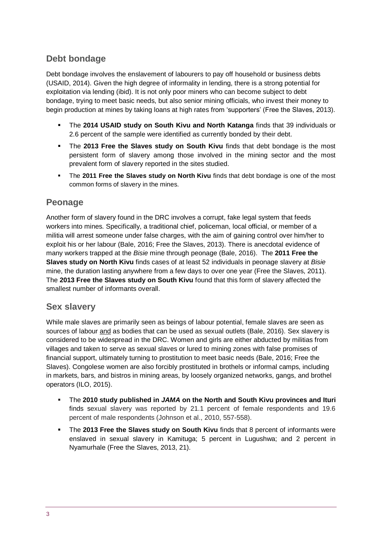# **Debt bondage**

Debt bondage involves the enslavement of labourers to pay off household or business debts (USAID, 2014). Given the high degree of informality in lending, there is a strong potential for exploitation via lending (ibid). It is not only poor miners who can become subject to debt bondage, trying to meet basic needs, but also senior mining officials, who invest their money to begin production at mines by taking loans at high rates from 'supporters' (Free the Slaves, 2013).

- The **2014 USAID study on South Kivu and North Katanga** finds that 39 individuals or 2.6 percent of the sample were identified as currently bonded by their debt.
- The **2013 Free the Slaves study on South Kivu** finds that debt bondage is the most persistent form of slavery among those involved in the mining sector and the most prevalent form of slavery reported in the sites studied.
- **.** The 2011 Free the Slaves study on North Kivu finds that debt bondage is one of the most common forms of slavery in the mines.

### **Peonage**

Another form of slavery found in the DRC involves a corrupt, fake legal system that feeds workers into mines. Specifically, a traditional chief, policeman, local official, or member of a militia will arrest someone under false charges, with the aim of gaining control over him/her to exploit his or her labour (Bale, 2016; Free the Slaves, 2013). There is anecdotal evidence of many workers trapped at the *Bisie* mine through peonage (Bale, 2016). The **2011 Free the Slaves study on North Kivu** finds cases of at least 52 individuals in peonage slavery at *Bisie*  mine, the duration lasting anywhere from a few days to over one year (Free the Slaves, 2011). The **2013 Free the Slaves study on South Kivu** found that this form of slavery affected the smallest number of informants overall.

### **Sex slavery**

While male slaves are primarily seen as beings of labour potential, female slaves are seen as sources of labour and as bodies that can be used as sexual outlets (Bale, 2016). Sex slavery is considered to be widespread in the DRC. Women and girls are either abducted by militias from villages and taken to serve as sexual slaves or lured to mining zones with false promises of financial support, ultimately turning to prostitution to meet basic needs (Bale, 2016; Free the Slaves). Congolese women are also forcibly prostituted in brothels or informal camps, including in markets, bars, and bistros in mining areas, by loosely organized networks, gangs, and brothel operators (ILO, 2015).

- The **2010 study published in** *JAMA* **on the North and South Kivu provinces and Ituri** finds sexual slavery was reported by 21.1 percent of female respondents and 19.6 percent of male respondents (Johnson et al., 2010, 557-558).
- **. The 2013 Free the Slaves study on South Kivu finds that 8 percent of informants were** enslaved in sexual slavery in Kamituga; 5 percent in Lugushwa; and 2 percent in Nyamurhale (Free the Slaves, 2013, 21).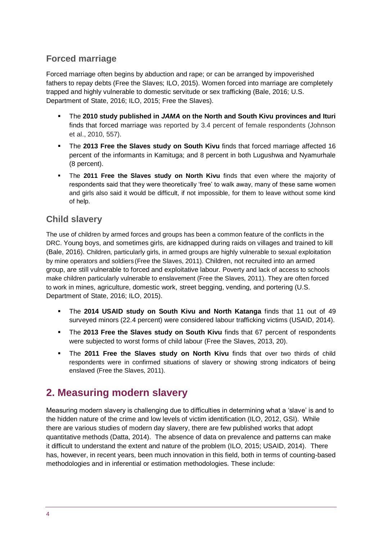# **Forced marriage**

Forced marriage often begins by abduction and rape; or can be arranged by impoverished fathers to repay debts (Free the Slaves; ILO, 2015). Women forced into marriage are completely trapped and highly vulnerable to domestic servitude or sex trafficking (Bale, 2016; U.S. Department of State, 2016; ILO, 2015; Free the Slaves).

- The **2010 study published in** *JAMA* **on the North and South Kivu provinces and Ituri** finds that forced marriage was reported by 3.4 percent of female respondents (Johnson et al., 2010, 557).
- The 2013 Free the Slaves study on South Kivu finds that forced marriage affected 16 percent of the informants in Kamituga; and 8 percent in both Lugushwa and Nyamurhale (8 percent).
- **.** The 2011 Free the Slaves study on North Kivu finds that even where the majority of respondents said that they were theoretically 'free' to walk away, many of these same women and girls also said it would be difficult, if not impossible, for them to leave without some kind of help.

### **Child slavery**

The use of children by armed forces and groups has been a common feature of the conflicts in the DRC. Young boys, and sometimes girls, are kidnapped during raids on villages and trained to kill (Bale, 2016). Children, particularly girls, in armed groups are highly vulnerable to sexual exploitation by mine operators and soldiers (Free the Slaves, 2011). Children, not recruited into an armed group, are still vulnerable to forced and exploitative labour. Poverty and lack of access to schools make children particularly vulnerable to enslavement (Free the Slaves, 2011). They are often forced to work in mines, agriculture, domestic work, street begging, vending, and portering (U.S. Department of State, 2016; ILO, 2015).

- The **2014 USAID study on South Kivu and North Katanga** finds that 11 out of 49 surveyed minors (22.4 percent) were considered labour trafficking victims (USAID, 2014).
- **.** The 2013 Free the Slaves study on South Kivu finds that 67 percent of respondents were subjected to worst forms of child labour (Free the Slaves, 2013, 20).
- The **2011 Free the Slaves study on North Kivu** finds that over two thirds of child respondents were in confirmed situations of slavery or showing strong indicators of being enslaved (Free the Slaves, 2011).

# <span id="page-3-0"></span>**2. Measuring modern slavery**

Measuring modern slavery is challenging due to difficulties in determining what a 'slave' is and to the hidden nature of the crime and low levels of victim identification (ILO, 2012, GSI). While there are various studies of modern day slavery, there are few published works that adopt quantitative methods (Datta, 2014). The absence of data on prevalence and patterns can make it difficult to understand the extent and nature of the problem (ILO, 2015; USAID, 2014). There has, however, in recent years, been much innovation in this field, both in terms of counting-based methodologies and in inferential or estimation methodologies. These include: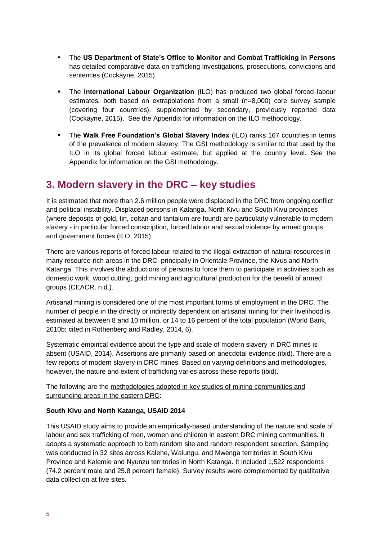- The **US Department of State's Office to Monitor and Combat Trafficking in Persons** has detailed comparative data on trafficking investigations, prosecutions, convictions and sentences (Cockayne, 2015).
- **.** The **International Labour Organization** (ILO) has produced two global forced labour estimates, both based on extrapolations from a small (n=8,000) core survey sample (covering four countries), supplemented by secondary, previously reported data (Cockayne, 2015). See the Appendix for information on the ILO methodology.
- **.** The Walk Free Foundation's Global Slavery Index (ILO) ranks 167 countries in terms of the prevalence of modern slavery. The GSI methodology is similar to that used by the ILO in its global forced labour estimate, but applied at the country level. See the Appendix for information on the GSI methodology.

# <span id="page-4-0"></span>**3. Modern slavery in the DRC – key studies**

It is estimated that more than 2.6 million people were displaced in the DRC from ongoing conflict and political instability. Displaced persons in Katanga, North Kivu and South Kivu provinces (where deposits of gold, tin, coltan and tantalum are found) are particularly vulnerable to modern slavery - in particular forced conscription, forced labour and sexual violence by armed groups and government forces (ILO, 2015).

There are various reports of forced labour related to the illegal extraction of natural resources in many resource-rich areas in the DRC, principally in Orientale Province, the Kivus and North Katanga. This involves the abductions of persons to force them to participate in activities such as domestic work, wood cutting, gold mining and agricultural production for the benefit of armed groups (CEACR, n.d.).

Artisanal mining is considered one of the most important forms of employment in the DRC. The number of people in the directly or indirectly dependent on artisanal mining for their livelihood is estimated at between 8 and 10 million, or 14 to 16 percent of the total population (World Bank, 2010b; cited in Rothenberg and Radley, 2014, 6).

Systematic empirical evidence about the type and scale of modern slavery in DRC mines is absent (USAID, 2014). Assertions are primarily based on anecdotal evidence (ibid). There are a few reports of modern slavery in DRC mines. Based on varying definitions and methodologies, however, the nature and extent of trafficking varies across these reports (ibid).

The following are the methodologies adopted in key studies of mining communities and surrounding areas in the eastern DRC**:**

#### **South Kivu and North Katanga, USAID 2014**

This USAID study aims to provide an empirically-based understanding of the nature and scale of labour and sex trafficking of men, women and children in eastern DRC mining communities. It adopts a systematic approach to both random site and random respondent selection. Sampling was conducted in 32 sites across Kalehe, Walungu, and Mwenga territories in South Kivu Province and Kalemie and Nyunzu territories in North Katanga. It included 1,522 respondents (74.2 percent male and 25.8 percent female). Survey results were complemented by qualitative data collection at five sites.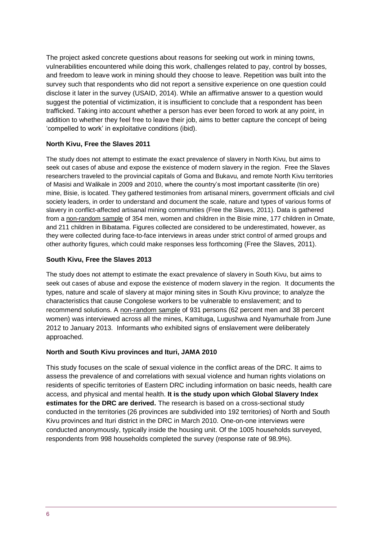The project asked concrete questions about reasons for seeking out work in mining towns, vulnerabilities encountered while doing this work, challenges related to pay, control by bosses, and freedom to leave work in mining should they choose to leave. Repetition was built into the survey such that respondents who did not report a sensitive experience on one question could disclose it later in the survey (USAID, 2014). While an affirmative answer to a question would suggest the potential of victimization, it is insufficient to conclude that a respondent has been trafficked. Taking into account whether a person has ever been forced to work at any point, in addition to whether they feel free to leave their job, aims to better capture the concept of being 'compelled to work' in exploitative conditions (ibid).

#### **North Kivu, Free the Slaves 2011**

The study does not attempt to estimate the exact prevalence of slavery in North Kivu, but aims to seek out cases of abuse and expose the existence of modern slavery in the region. Free the Slaves researchers traveled to the provincial capitals of Goma and Bukavu, and remote North Kivu territories of Masisi and Walikale in 2009 and 2010, where the country's most important cassiterite (tin ore) mine, Bisie, is located. They gathered testimonies from artisanal miners, government officials and civil society leaders, in order to understand and document the scale, nature and types of various forms of slavery in conflict-affected artisanal mining communities (Free the Slaves, 2011). Data is gathered from a non-random sample of 354 men, women and children in the Bisie mine, 177 children in Omate, and 211 children in Bibatama. Figures collected are considered to be underestimated, however, as they were collected during face-to-face interviews in areas under strict control of armed groups and other authority figures, which could make responses less forthcoming (Free the Slaves, 2011).

#### **South Kivu, Free the Slaves 2013**

The study does not attempt to estimate the exact prevalence of slavery in South Kivu, but aims to seek out cases of abuse and expose the existence of modern slavery in the region. It documents the types, nature and scale of slavery at major mining sites in South Kivu province; to analyze the characteristics that cause Congolese workers to be vulnerable to enslavement; and to recommend solutions. A non-random sample of 931 persons (62 percent men and 38 percent women) was interviewed across all the mines, Kamituga, Lugushwa and Nyamurhale from June 2012 to January 2013. Informants who exhibited signs of enslavement were deliberately approached.

#### **North and South Kivu provinces and Ituri, JAMA 2010**

This study focuses on the scale of sexual violence in the conflict areas of the DRC. It aims to assess the prevalence of and correlations with sexual violence and human rights violations on residents of specific territories of Eastern DRC including information on basic needs, health care access, and physical and mental health. **It is the study upon which Global Slavery Index estimates for the DRC are derived.** The research is based on a cross-sectional study conducted in the territories (26 provinces are subdivided into 192 territories) of North and South Kivu provinces and Ituri district in the DRC in March 2010. One-on-one interviews were conducted anonymously, typically inside the housing unit. Of the 1005 households surveyed, respondents from 998 households completed the survey (response rate of 98.9%).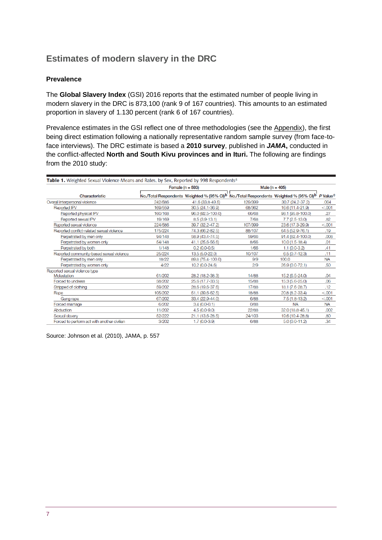# **Estimates of modern slavery in the DRC**

#### **Prevalence**

The **Global Slavery Index** (GSI) 2016 reports that the estimated number of people living in modern slavery in the DRC is 873,100 (rank 9 of 167 countries). This amounts to an estimated proportion in slavery of 1.130 percent (rank 6 of 167 countries).

Prevalence estimates in the GSI reflect one of three methodologies (see the Appendix), the first being direct estimation following a nationally representative random sample survey (from face-toface interviews). The DRC estimate is based a **2010 survey**, published in *JAMA***,** conducted in the conflict-affected **North and South Kivu provinces and in Ituri.** The following are findings from the 2010 study:

| Table 1. Weighted Sexual Violence Means and Rates, by Sex, Reported by 998 Respondents <sup>a</sup> |         |                      |                                                                                                               |                   |                      |  |  |  |  |  |
|-----------------------------------------------------------------------------------------------------|---------|----------------------|---------------------------------------------------------------------------------------------------------------|-------------------|----------------------|--|--|--|--|--|
|                                                                                                     |         | Female ( $n = 593$ ) | Male ( $n = 405$ )                                                                                            |                   |                      |  |  |  |  |  |
| Characteristic                                                                                      |         |                      | No./Total Respondents Weighted % (95% CI) <sup>b</sup> No./Total Respondents Weighted % (95% CI) <sup>b</sup> |                   | P Value <sup>c</sup> |  |  |  |  |  |
| Overall interpersonal violence                                                                      | 242/586 | 41.6 (33.8-49.5)     | 129/399                                                                                                       | 30.7 (24.2-37.2)  | .004                 |  |  |  |  |  |
| <b>Reported IPV</b>                                                                                 | 169/559 | 30.5 (24.1-36.9)     | 68/362                                                                                                        | 16.6 (11.4-21.9)  | < 0.001              |  |  |  |  |  |
| Reported physical IPV                                                                               | 160/168 | 96.0 (92.5-100.0)    | 66/68                                                                                                         | 98.1 (95.8-100.0) | .27                  |  |  |  |  |  |
| Reported sexual IPV                                                                                 | 19/169  | $8.5(3.9-13.1)$      | 7/68                                                                                                          | $7.7(2.5-13.0)$   | .82                  |  |  |  |  |  |
| Reported sexual violence                                                                            | 224/586 | 39.7 (32.2-47.2)     | 107/399                                                                                                       | 23.6 (17.3-29.9)  | < 0.001              |  |  |  |  |  |
| Reported conflict-related sexual violence                                                           | 175/224 | 74.3 (66.2-82.5)     | 88/107                                                                                                        | 64.5 (52.9-76.1)  | .19                  |  |  |  |  |  |
| Perpetrated by men only                                                                             | 94/148  | 58.9 (43.4-74.5)     | 59/66                                                                                                         | 91.4 (82.4-100.0) | .008                 |  |  |  |  |  |
| Perpetrated by women only                                                                           | 54/148  | 41.1 (25.6-56.6)     | 8/66                                                                                                          | $10.0(1.5-18.4)$  | .01                  |  |  |  |  |  |
| Perpetrated by both                                                                                 | 1/148   | $0.2(0.0-0.5)$       | 1/66                                                                                                          | $1.1(0.0-3.2)$    | .41                  |  |  |  |  |  |
| Reported community-based sexual violence                                                            | 25/224  | 13.5 (5.0-22.0)      | 10/107                                                                                                        | $6.5(0.7-12.3)$   | .11                  |  |  |  |  |  |
| Perpetrated by men only                                                                             | 18/22   | 89.8 (75.4-100.0)    | 9/9                                                                                                           | 100.0             | <b>NA</b>            |  |  |  |  |  |
| Perpetrated by women only                                                                           | 4/22    | 10.2 (0.0-24.6)      | 2/9                                                                                                           | 26.9 (0.0-72.1)   | .50                  |  |  |  |  |  |
| Reported sexual violence type                                                                       |         |                      |                                                                                                               |                   |                      |  |  |  |  |  |
| Molestation                                                                                         | 61/202  | 28.2 (18.2-38.3)     | 14/88                                                                                                         | 15.2 (6.5-24.0)   | .04                  |  |  |  |  |  |
| Forced to undress                                                                                   | 58/202  | 25.6 (17.7-33.5)     | 15/88                                                                                                         | 15.3 (5.6-25.0)   | .06                  |  |  |  |  |  |
| Stripped of clothing                                                                                | 59/202  | 28.6 (19.6-37.6)     | 17/88                                                                                                         | 18.1 (7.6-28.7)   | .12                  |  |  |  |  |  |
| Rape                                                                                                | 105/202 | 51.1 (39.6-62.5)     | 18/88                                                                                                         | 20.8 (8.2-33.4)   | < 0.001              |  |  |  |  |  |
| Gang rape                                                                                           | 67/202  | 33.4 (22.9-44.0)     | 6/88                                                                                                          | $7.5(1.8-13.2)$   | < 0.001              |  |  |  |  |  |
| Forced marriage                                                                                     | 6/202   | $3.4(0.0-0.1)$       | 0/88                                                                                                          | <b>NA</b>         | <b>NA</b>            |  |  |  |  |  |
| Abduction                                                                                           | 11/202  | $4.5(0.0-9.0)$       | 22/88                                                                                                         | 32.0 (18.8-45.1)  | .002                 |  |  |  |  |  |
| Sexual slavery                                                                                      | 52/222  | 21.1 (13.6-28.5)     | 24/103                                                                                                        | 19.6 (10.4-28.8)  | .80                  |  |  |  |  |  |
| Forced to perform act with another civilian                                                         | 3/202   | $1.7(0.0-3.9)$       | 6/88                                                                                                          | $5.0(0.0-11.2)$   | .34                  |  |  |  |  |  |

Source: Johnson et al. (2010), JAMA, p. 557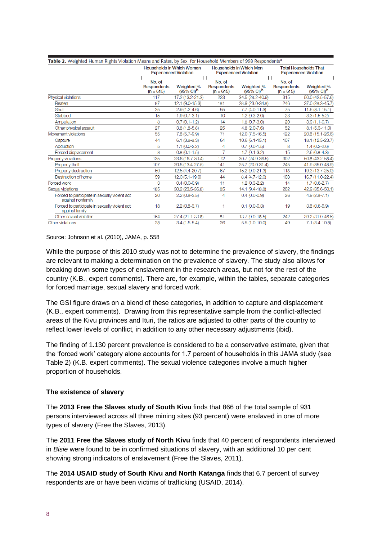| Table 2. Weighted Human Rights Violation Means and Rates, by Sex, for Household Members of 998 Respondents <sup>a</sup> |                                                                  |                                           |                                                                |                                             |                                                              |                                           |  |  |
|-------------------------------------------------------------------------------------------------------------------------|------------------------------------------------------------------|-------------------------------------------|----------------------------------------------------------------|---------------------------------------------|--------------------------------------------------------------|-------------------------------------------|--|--|
|                                                                                                                         | <b>Households in Which Women</b><br><b>Experienced Violation</b> |                                           | <b>Households in Which Men</b><br><b>Experienced Violation</b> |                                             | <b>Total Households That</b><br><b>Experienced Violation</b> |                                           |  |  |
|                                                                                                                         | No. of<br><b>Respondents</b><br>$(n = 615)$                      | Weighted %<br>$(95\% \text{ Cl})^{\rm b}$ | No. of<br><b>Respondents</b><br>$(n = 615)$                    | Weighted %<br>$(95\% \text{ C}^{\text{b}})$ | л<br>No. of<br><b>Respondents</b><br>$(n = 615)$             | Weighted %<br>$(95\% \text{ Cl})^{\rm b}$ |  |  |
| Physical violations                                                                                                     | 117                                                              | 17.2 (13.2-21.3)                          | 223                                                            | 34.5 (28.2-40.9)                            | 315                                                          | 50.0 (42.5-57.6)                          |  |  |
| Beaten                                                                                                                  | 87                                                               | 12.1 (9.0-15.3)                           | 181                                                            | 28.9 (23.0-34.8)                            | 246                                                          | 37.0 (28.3-45.7)                          |  |  |
| Shot                                                                                                                    | 25                                                               | $2.9(1.2 - 4.6)$                          | 55                                                             | $7.7(4.0-11.3)$                             | 75                                                           | $11.6(8.1 - 15.1)$                        |  |  |
| Stabbed                                                                                                                 | 15                                                               | $1.9(0.7-3.1)$                            | 10                                                             | $1.2(0.3-2.0)$                              | 23                                                           | $3.3(1.5-5.2)$                            |  |  |
| Amputation                                                                                                              | 8                                                                | $0.7(0.1 - 1.2)$                          | 14                                                             | $1.8(0.7-3.0)$                              | 20                                                           | $3.9(1.1 - 6.7)$                          |  |  |
| Other physical assault                                                                                                  | 27                                                               | $3.8(1.8-5.8)$                            | 25                                                             | $4.8(2.0-7.6)$                              | 52                                                           | $8.1 (5.3 - 11.0)$                        |  |  |
| Movement violations                                                                                                     | 55                                                               | $7.8(5.7-9.9)$                            | 71                                                             | 12.0 (7.5-16.5)                             | 122                                                          | 20.8 (15.1-26.6)                          |  |  |
| Capture                                                                                                                 | 44                                                               | $6.1 (3.8 - 8.3)$                         | 64                                                             | $10.6(6.1 - 15.1)$                          | 107                                                          | 18.1 (12.5-23.7)                          |  |  |
| Abduction                                                                                                               | 5                                                                | $1.1(0.0-2.2)$                            | 4                                                              | $0.7(0.0-1.5)$                              | 8                                                            | $1.4(0.2 - 2.6)$                          |  |  |
| Forced displacement                                                                                                     | 8                                                                | $0.8(0.1 - 1.5)$                          |                                                                | $1.7(0.1 - 3.2)$                            | 15                                                           | $2.6(0.8-4.3)$                            |  |  |
| Property violations                                                                                                     | 135                                                              | 23.6 (16.7-30.4)                          | 172                                                            | 30.7 (24.9-36.5)                            | 302                                                          | 50.8 (43.2-58.4)                          |  |  |
| Property theft                                                                                                          | 107                                                              | 20.5 (13.4-27.5)                          | 141                                                            | 25.7 (20.0-31.4)                            | 245                                                          | 41.9 (35.0-48.9)                          |  |  |
| Property destruction                                                                                                    | 50                                                               | 12.5 (4.4-20.7)                           | 67                                                             | 15.2 (9.0-21.3)                             | 118                                                          | 19.3 (13.7-25.0)                          |  |  |
| Destruction of home                                                                                                     | 59                                                               | $12.0(5.1-19.0)$                          | 44                                                             | $8.4(4.7-12.0)$                             | 103                                                          | 16.7 (11.0-22.4)                          |  |  |
| Forced work                                                                                                             | 3                                                                | $0.4(0.0-0.9)$                            | 11                                                             | $1.2(0.3-2.2)$                              | 14                                                           | $1.7(0.6-2.7)$                            |  |  |
| Sexual violations                                                                                                       | 185                                                              | 30.2 (23.5-36.8)                          | 85                                                             | 14.1 (9.4-18.8)                             | 262                                                          | 42.9 (35.6-50.1)                          |  |  |
| Forced to participate in sexually violent act<br>against nonfamily                                                      | 20                                                               | $2.2(0.8-3.5)$                            | 4                                                              | $0.4(0.0-0.9)$                              | 26                                                           | $4.9(2.8 - 7.1)$                          |  |  |
| Forced to participate in sexually violent act<br>against family                                                         | 18                                                               | $2.2(0.8-3.7)$                            | 1                                                              | $0.1(0.0-0.3)$                              | 19                                                           | $3.8(0.6-6.9)$                            |  |  |
| Other sexual violation                                                                                                  | 164                                                              | 27.4 (21.1-33.8)                          | 81                                                             | 13.7 (9.0-18.5)                             | 242                                                          | 39.2 (31.9-46.5)                          |  |  |
| Other violations                                                                                                        | 28                                                               | $3.4(1.5-5.4)$                            | 26                                                             | $5.5(1.0-10.0)$                             | 49                                                           | $7.1(3.4-10.8)$                           |  |  |

Source: Johnson et al. (2010), JAMA, p. 558

While the purpose of this 2010 study was not to determine the prevalence of slavery, the findings are relevant to making a determination on the prevalence of slavery. The study also allows for breaking down some types of enslavement in the research areas, but not for the rest of the country (K.B., expert comments). There are, for example, within the tables, separate categories for forced marriage, sexual slavery and forced work.

The GSI figure draws on a blend of these categories, in addition to capture and displacement (K.B., expert comments). Drawing from this representative sample from the conflict-affected areas of the Kivu provinces and Ituri, the ratios are adjusted to other parts of the country to reflect lower levels of conflict, in addition to any other necessary adjustments (ibid).

The finding of 1.130 percent prevalence is considered to be a conservative estimate, given that the 'forced work' category alone accounts for 1.7 percent of households in this JAMA study (see Table 2) (K.B. expert comments). The sexual violence categories involve a much higher proportion of households.

#### **The existence of slavery**

The **2013 Free the Slaves study of South Kivu** finds that 866 of the total sample of 931 persons interviewed across all three mining sites (93 percent) were enslaved in one of more types of slavery (Free the Slaves, 2013).

The **2011 Free the Slaves study of North Kivu** finds that 40 percent of respondents interviewed in *Bisie* were found to be in confirmed situations of slavery, with an additional 10 per cent showing strong indicators of enslavement (Free the Slaves, 2011).

The **2014 USAID study of South Kivu and North Katanga** finds that 6.7 percent of survey respondents are or have been victims of trafficking (USAID, 2014).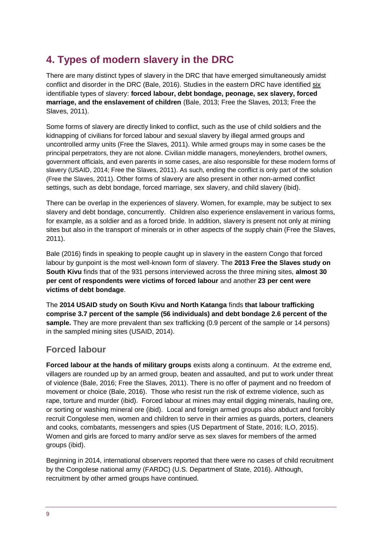# <span id="page-8-0"></span>**4. Types of modern slavery in the DRC**

There are many distinct types of slavery in the DRC that have emerged simultaneously amidst conflict and disorder in the DRC (Bale, 2016). Studies in the eastern DRC have identified six identifiable types of slavery: **forced labour, debt bondage, peonage, sex slavery, forced marriage, and the enslavement of children** (Bale, 2013; Free the Slaves, 2013; Free the Slaves, 2011).

Some forms of slavery are directly linked to conflict, such as the use of child soldiers and the kidnapping of civilians for forced labour and sexual slavery by illegal armed groups and uncontrolled army units (Free the Slaves, 2011). While armed groups may in some cases be the principal perpetrators, they are not alone. Civilian middle managers, moneylenders, brothel owners, government officials, and even parents in some cases, are also responsible for these modern forms of slavery (USAID, 2014; Free the Slaves, 2011). As such, ending the conflict is only part of the solution (Free the Slaves, 2011). Other forms of slavery are also present in other non-armed conflict settings, such as debt bondage, forced marriage, sex slavery, and child slavery (ibid).

There can be overlap in the experiences of slavery. Women, for example, may be subject to sex slavery and debt bondage, concurrently. Children also experience enslavement in various forms, for example, as a soldier and as a forced bride. In addition, slavery is present not only at mining sites but also in the transport of minerals or in other aspects of the supply chain (Free the Slaves, 2011).

Bale (2016) finds in speaking to people caught up in slavery in the eastern Congo that forced labour by gunpoint is the most well-known form of slavery. The **2013 Free the Slaves study on South Kivu** finds that of the 931 persons interviewed across the three mining sites, **almost 30 per cent of respondents were victims of forced labour** and another **23 per cent were victims of debt bondage**.

The **2014 USAID study on South Kivu and North Katanga** finds **that labour trafficking comprise 3.7 percent of the sample (56 individuals) and debt bondage 2.6 percent of the sample.** They are more prevalent than sex trafficking (0.9 percent of the sample or 14 persons) in the sampled mining sites (USAID, 2014).

# **Forced labour**

**Forced labour at the hands of military groups** exists along a continuum. At the extreme end, villagers are rounded up by an armed group, beaten and assaulted, and put to work under threat of violence (Bale, 2016; Free the Slaves, 2011). There is no offer of payment and no freedom of movement or choice (Bale, 2016). Those who resist run the risk of extreme violence, such as rape, torture and murder (ibid). Forced labour at mines may entail digging minerals, hauling ore, or sorting or washing mineral ore (ibid). Local and foreign armed groups also abduct and forcibly recruit Congolese men, women and children to serve in their armies as guards, porters, cleaners and cooks, combatants, messengers and spies (US Department of State, 2016; ILO, 2015). Women and girls are forced to marry and/or serve as sex slaves for members of the armed groups (ibid).

Beginning in 2014, international observers reported that there were no cases of child recruitment by the Congolese national army (FARDC) (U.S. Department of State, 2016). Although, recruitment by other armed groups have continued.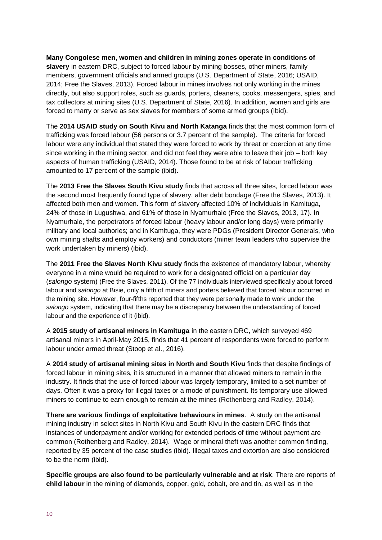**Many Congolese men, women and children in mining zones operate in conditions of slavery** in eastern DRC, subject to forced labour by mining bosses, other miners, family members, government officials and armed groups (U.S. Department of State, 2016; USAID, 2014; Free the Slaves, 2013). Forced labour in mines involves not only working in the mines directly, but also support roles, such as guards, porters, cleaners, cooks, messengers, spies, and tax collectors at mining sites (U.S. Department of State, 2016). In addition, women and girls are forced to marry or serve as sex slaves for members of some armed groups (Ibid).

The **2014 USAID study on South Kivu and North Katanga** finds that the most common form of trafficking was forced labour (56 persons or 3.7 percent of the sample). The criteria for forced labour were any individual that stated they were forced to work by threat or coercion at any time since working in the mining sector; and did not feel they were able to leave their job – both key aspects of human trafficking (USAID, 2014). Those found to be at risk of labour trafficking amounted to 17 percent of the sample (ibid).

The **2013 Free the Slaves South Kivu study** finds that across all three sites, forced labour was the second most frequently found type of slavery, after debt bondage (Free the Slaves, 2013). It affected both men and women. This form of slavery affected 10% of individuals in Kamituga, 24% of those in Lugushwa, and 61% of those in Nyamurhale (Free the Slaves, 2013, 17). In Nyamurhale, the perpetrators of forced labour (heavy labour and/or long days) were primarily military and local authories; and in Kamituga, they were PDGs (President Director Generals, who own mining shafts and employ workers) and conductors (miner team leaders who supervise the work undertaken by miners) (ibid).

The **2011 Free the Slaves North Kivu study** finds the existence of mandatory labour, whereby everyone in a mine would be required to work for a designated official on a particular day (*salongo* system) (Free the Slaves, 2011). Of the 77 individuals interviewed specifically about forced labour and *salongo* at Bisie, only a fifth of miners and porters believed that forced labour occurred in the mining site. However, four-fifths reported that they were personally made to work under the *salongo* system, indicating that there may be a discrepancy between the understanding of forced labour and the experience of it (ibid).

A **2015 study of artisanal miners in Kamituga** in the eastern DRC, which surveyed 469 artisanal miners in April-May 2015, finds that 41 percent of respondents were forced to perform labour under armed threat (Stoop et al., 2016).

A **2014 study of artisanal mining sites in North and South Kivu** finds that despite findings of forced labour in mining sites, it is structured in a manner that allowed miners to remain in the industry. It finds that the use of forced labour was largely temporary, limited to a set number of days. Often it was a proxy for illegal taxes or a mode of punishment. Its temporary use allowed miners to continue to earn enough to remain at the mines (Rothenberg and Radley, 2014).

**There are various findings of exploitative behaviours in mines**. A study on the artisanal mining industry in select sites in North Kivu and South Kivu in the eastern DRC finds that instances of underpayment and/or working for extended periods of time without payment are common (Rothenberg and Radley, 2014). Wage or mineral theft was another common finding, reported by 35 percent of the case studies (ibid). Illegal taxes and extortion are also considered to be the norm (ibid).

**Specific groups are also found to be particularly vulnerable and at risk**. There are reports of **child labour** in the mining of diamonds, copper, gold, cobalt, ore and tin, as well as in the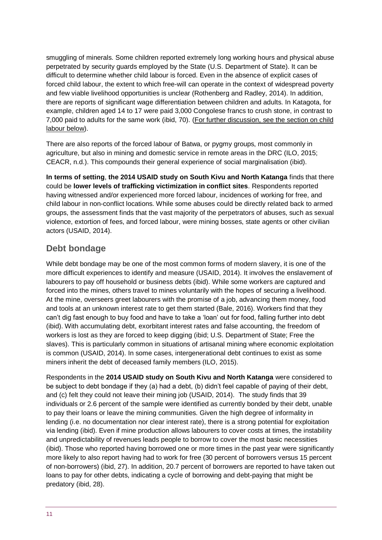smuggling of minerals. Some children reported extremely long working hours and physical abuse perpetrated by security guards employed by the State (U.S. Department of State). It can be difficult to determine whether child labour is forced. Even in the absence of explicit cases of forced child labour, the extent to which free-will can operate in the context of widespread poverty and few viable livelihood opportunities is unclear (Rothenberg and Radley, 2014). In addition, there are reports of significant wage differentiation between children and adults. In Katagota, for example, children aged 14 to 17 were paid 3,000 Congolese francs to crush stone, in contrast to 7,000 paid to adults for the same work (ibid, 70). (For further discussion, see the section on child labour below).

There are also reports of the forced labour of Batwa, or pygmy groups, most commonly in agriculture, but also in mining and domestic service in remote areas in the DRC (ILO, 2015; CEACR, n.d.). This compounds their general experience of social marginalisation (ibid).

**In terms of setting**, **the 2014 USAID study on South Kivu and North Katanga** finds that there could be **lower levels of trafficking victimization in conflict sites**. Respondents reported having witnessed and/or experienced more forced labour, incidences of working for free, and child labour in non-conflict locations. While some abuses could be directly related back to armed groups, the assessment finds that the vast majority of the perpetrators of abuses, such as sexual violence, extortion of fees, and forced labour, were mining bosses, state agents or other civilian actors (USAID, 2014).

# **Debt bondage**

While debt bondage may be one of the most common forms of modern slavery, it is one of the more difficult experiences to identify and measure (USAID, 2014). It involves the enslavement of labourers to pay off household or business debts (ibid). While some workers are captured and forced into the mines, others travel to mines voluntarily with the hopes of securing a livelihood. At the mine, overseers greet labourers with the promise of a job, advancing them money, food and tools at an unknown interest rate to get them started (Bale, 2016). Workers find that they can't dig fast enough to buy food and have to take a 'loan' out for food, falling further into debt (ibid). With accumulating debt, exorbitant interest rates and false accounting, the freedom of workers is lost as they are forced to keep digging (ibid; U.S. Department of State; Free the slaves). This is particularly common in situations of artisanal mining where economic exploitation is common (USAID, 2014). In some cases, intergenerational debt continues to exist as some miners inherit the debt of deceased family members (ILO, 2015).

Respondents in the **2014 USAID study on South Kivu and North Katanga** were considered to be subject to debt bondage if they (a) had a debt, (b) didn't feel capable of paying of their debt, and (c) felt they could not leave their mining job (USAID, 2014). The study finds that 39 individuals or 2.6 percent of the sample were identified as currently bonded by their debt, unable to pay their loans or leave the mining communities. Given the high degree of informality in lending (i.e. no documentation nor clear interest rate), there is a strong potential for exploitation via lending (ibid). Even if mine production allows labourers to cover costs at times, the instability and unpredictability of revenues leads people to borrow to cover the most basic necessities (ibid). Those who reported having borrowed one or more times in the past year were significantly more likely to also report having had to work for free (30 percent of borrowers versus 15 percent of non-borrowers) (ibid, 27). In addition, 20.7 percent of borrowers are reported to have taken out loans to pay for other debts, indicating a cycle of borrowing and debt-paying that might be predatory (ibid, 28).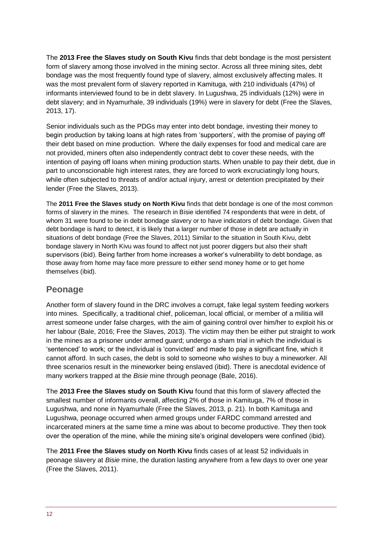The **2013 Free the Slaves study on South Kivu** finds that debt bondage is the most persistent form of slavery among those involved in the mining sector. Across all three mining sites, debt bondage was the most frequently found type of slavery, almost exclusively affecting males. It was the most prevalent form of slavery reported in Kamituga, with 210 individuals (47%) of informants interviewed found to be in debt slavery. In Lugushwa, 25 individuals (12%) were in debt slavery; and in Nyamurhale, 39 individuals (19%) were in slavery for debt (Free the Slaves, 2013, 17).

Senior individuals such as the PDGs may enter into debt bondage, investing their money to begin production by taking loans at high rates from 'supporters', with the promise of paying off their debt based on mine production. Where the daily expenses for food and medical care are not provided, miners often also independently contract debt to cover these needs, with the intention of paying off loans when mining production starts. When unable to pay their debt, due in part to unconscionable high interest rates, they are forced to work excruciatingly long hours, while often subjected to threats of and/or actual injury, arrest or detention precipitated by their lender (Free the Slaves, 2013).

The **2011 Free the Slaves study on North Kivu** finds that debt bondage is one of the most common forms of slavery in the mines. The research in Bisie identified 74 respondents that were in debt, of whom 31 were found to be in debt bondage slavery or to have indicators of debt bondage. Given that debt bondage is hard to detect, it is likely that a larger number of those in debt are actually in situations of debt bondage (Free the Slaves, 2011). Similar to the situation in South Kivu, debt bondage slavery in North Kivu was found to affect not just poorer diggers but also their shaft supervisors (ibid). Being farther from home increases a worker's vulnerability to debt bondage, as those away from home may face more pressure to either send money home or to get home themselves (ibid).

# **Peonage**

Another form of slavery found in the DRC involves a corrupt, fake legal system feeding workers into mines. Specifically, a traditional chief, policeman, local official, or member of a militia will arrest someone under false charges, with the aim of gaining control over him/her to exploit his or her labour (Bale, 2016; Free the Slaves, 2013). The victim may then be either put straight to work in the mines as a prisoner under armed guard; undergo a sham trial in which the individual is 'sentenced' to work; or the individual is 'convicted' and made to pay a significant fine, which it cannot afford. In such cases, the debt is sold to someone who wishes to buy a mineworker. All three scenarios result in the mineworker being enslaved (ibid). There is anecdotal evidence of many workers trapped at the *Bisie* mine through peonage (Bale, 2016).

The **2013 Free the Slaves study on South Kivu** found that this form of slavery affected the smallest number of informants overall, affecting 2% of those in Kamituga, 7% of those in Lugushwa, and none in Nyamurhale (Free the Slaves, 2013, p. 21). In both Kamituga and Lugushwa, peonage occurred when armed groups under FARDC command arrested and incarcerated miners at the same time a mine was about to become productive. They then took over the operation of the mine, while the mining site's original developers were confined (ibid).

The **2011 Free the Slaves study on North Kivu** finds cases of at least 52 individuals in peonage slavery at *Bisie* mine, the duration lasting anywhere from a few days to over one year (Free the Slaves, 2011).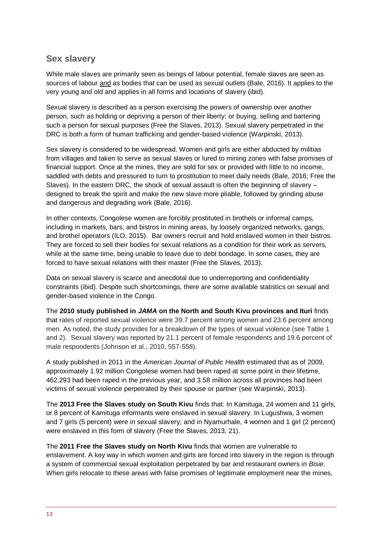### **Sex slavery**

While male slaves are primarily seen as beings of labour potential, female slaves are seen as sources of labour and as bodies that can be used as sexual outlets (Bale, 2016). It applies to the very young and old and applies in all forms and locations of slavery (ibid).

Sexual slavery is described as a person exercising the powers of ownership over another person, such as holding or depriving a person of their liberty; or buying, selling and bartering such a person for sexual purposes (Free the Slaves, 2013). Sexual slavery perpetrated in the DRC is both a form of human trafficking and gender-based violence (Warpinski, 2013).

Sex slavery is considered to be widespread. Women and girls are either abducted by militias from villages and taken to serve as sexual slaves or lured to mining zones with false promises of financial support. Once at the mines, they are sold for sex or provided with little to no income, saddled with debts and pressured to turn to prostitution to meet daily needs (Bale, 2016; Free the Slaves). In the eastern DRC, the shock of sexual assault is often the beginning of slavery – designed to break the spirit and make the new slave more pliable, followed by grinding abuse and dangerous and degrading work (Bale, 2016).

In other contexts, Congolese women are forcibly prostituted in brothels or informal camps, including in markets, bars, and bistros in mining areas, by loosely organized networks, gangs, and brothel operators (ILO, 2015). Bar owners recruit and hold enslaved women in their bistros. They are forced to sell their bodies for sexual relations as a condition for their work as servers, while at the same time, being unable to leave due to debt bondage. In some cases, they are forced to have sexual relations with their master (Free the Slaves, 2013).

Data on sexual slavery is scarce and anecdotal due to underreporting and confidentiality constraints (ibid). Despite such shortcomings, there are some available statistics on sexual and gender-based violence in the Congo.

The **2010 study published in** *JAMA* **on the North and South Kivu provinces and Ituri** finds that rates of reported sexual violence were 39.7 percent among women and 23.6 percent among men. As noted, the study provides for a breakdown of the types of sexual violence (see Table 1 and 2). Sexual slavery was reported by 21.1 percent of female respondents and 19.6 percent of male respondents (Johnson et al., 2010, 557-558).

A study published in 2011 in the *American Journal of Public Health* estimated that as of 2009, approximately 1.92 million Congolese women had been raped at some point in their lifetime, 462,293 had been raped in the previous year, and 3.58 million across all provinces had been victims of sexual violence perpetrated by their spouse or partner (see Warpinski, 2013).

The **2013 Free the Slaves study on South Kivu** finds that: In Kamituga, 24 women and 11 girls, or 8 percent of Kamituga informants were enslaved in sexual slavery. In Lugushwa, 3 women and 7 girls (5 percent) were in sexual slavery; and in Nyamurhale, 4 women and 1 girl (2 percent) were enslaved in this form of slavery (Free the Slaves, 2013, 21).

The **2011 Free the Slaves study on North Kivu** finds that women are vulnerable to enslavement. A key way in which women and girls are forced into slavery in the region is through a system of commercial sexual exploitation perpetrated by bar and restaurant owners in *Bisie*. When girls relocate to these areas with false promises of legitimate employment near the mines,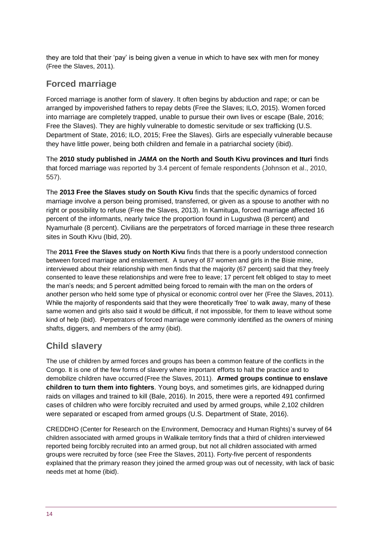they are told that their 'pay' is being given a venue in which to have sex with men for money (Free the Slaves, 2011).

### **Forced marriage**

Forced marriage is another form of slavery. It often begins by abduction and rape; or can be arranged by impoverished fathers to repay debts (Free the Slaves; ILO, 2015). Women forced into marriage are completely trapped, unable to pursue their own lives or escape (Bale, 2016; Free the Slaves). They are highly vulnerable to domestic servitude or sex trafficking (U.S. Department of State, 2016; ILO, 2015; Free the Slaves). Girls are especially vulnerable because they have little power, being both children and female in a patriarchal society (ibid).

The **2010 study published in** *JAMA* **on the North and South Kivu provinces and Ituri** finds that forced marriage was reported by 3.4 percent of female respondents (Johnson et al., 2010, 557).

The **2013 Free the Slaves study on South Kivu** finds that the specific dynamics of forced marriage involve a person being promised, transferred, or given as a spouse to another with no right or possibility to refuse (Free the Slaves, 2013). In Kamituga, forced marriage affected 16 percent of the informants, nearly twice the proportion found in Lugushwa (8 percent) and Nyamurhale (8 percent). Civilians are the perpetrators of forced marriage in these three research sites in South Kivu (Ibid, 20).

The **2011 Free the Slaves study on North Kivu** finds that there is a poorly understood connection between forced marriage and enslavement. A survey of 87 women and girls in the Bisie mine, interviewed about their relationship with men finds that the majority (67 percent) said that they freely consented to leave these relationships and were free to leave; 17 percent felt obliged to stay to meet the man's needs; and 5 percent admitted being forced to remain with the man on the orders of another person who held some type of physical or economic control over her (Free the Slaves, 2011). While the majority of respondents said that they were theoretically 'free' to walk away, many of these same women and girls also said it would be difficult, if not impossible, for them to leave without some kind of help (ibid). Perpetrators of forced marriage were commonly identified as the owners of mining shafts, diggers, and members of the army (ibid).

# **Child slavery**

The use of children by armed forces and groups has been a common feature of the conflicts in the Congo. It is one of the few forms of slavery where important efforts to halt the practice and to demobilize children have occurred(Free the Slaves, 2011). **Armed groups continue to enslave children to turn them into fighters**. Young boys, and sometimes girls, are kidnapped during raids on villages and trained to kill (Bale, 2016). In 2015, there were a reported 491 confirmed cases of children who were forcibly recruited and used by armed groups, while 2,102 children were separated or escaped from armed groups (U.S. Department of State, 2016).

CREDDHO (Center for Research on the Environment, Democracy and Human Rights)'s survey of 64 children associated with armed groups in Walikale territory finds that a third of children interviewed reported being forcibly recruited into an armed group, but not all children associated with armed groups were recruited by force (see Free the Slaves, 2011). Forty-five percent of respondents explained that the primary reason they joined the armed group was out of necessity, with lack of basic needs met at home (ibid).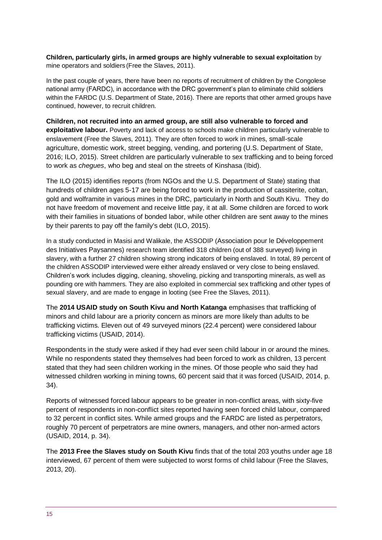**Children, particularly girls, in armed groups are highly vulnerable to sexual exploitation** by mine operators and soldiers (Free the Slaves, 2011).

In the past couple of years, there have been no reports of recruitment of children by the Congolese national army (FARDC), in accordance with the DRC government's plan to eliminate child soldiers within the FARDC (U.S. Department of State, 2016). There are reports that other armed groups have continued, however, to recruit children.

#### **Children, not recruited into an armed group, are still also vulnerable to forced and**

**exploitative labour.** Poverty and lack of access to schools make children particularly vulnerable to enslavement (Free the Slaves, 2011). They are often forced to work in mines, small-scale agriculture, domestic work, street begging, vending, and portering (U.S. Department of State, 2016; ILO, 2015). Street children are particularly vulnerable to sex trafficking and to being forced to work as *chegues*, who beg and steal on the streets of Kinshasa (Ibid).

The ILO (2015) identifies reports (from NGOs and the U.S. Department of State) stating that hundreds of children ages 5-17 are being forced to work in the production of cassiterite, coltan, gold and wolframite in various mines in the DRC, particularly in North and South Kivu. They do not have freedom of movement and receive little pay, it at all. Some children are forced to work with their families in situations of bonded labor, while other children are sent away to the mines by their parents to pay off the family's debt (ILO, 2015).

In a study conducted in Masisi and Walikale, the ASSODIP (Association pour le Développement des Initiatives Paysannes) research team identified 318 children (out of 388 surveyed) living in slavery, with a further 27 children showing strong indicators of being enslaved. In total, 89 percent of the children ASSODIP interviewed were either already enslaved or very close to being enslaved. Children's work includes digging, cleaning, shoveling, picking and transporting minerals, as well as pounding ore with hammers. They are also exploited in commercial sex trafficking and other types of sexual slavery, and are made to engage in looting (see Free the Slaves, 2011).

The **2014 USAID study on South Kivu and North Katanga** emphasises that trafficking of minors and child labour are a priority concern as minors are more likely than adults to be trafficking victims. Eleven out of 49 surveyed minors (22.4 percent) were considered labour trafficking victims (USAID, 2014).

Respondents in the study were asked if they had ever seen child labour in or around the mines. While no respondents stated they themselves had been forced to work as children, 13 percent stated that they had seen children working in the mines. Of those people who said they had witnessed children working in mining towns, 60 percent said that it was forced (USAID, 2014, p. 34).

Reports of witnessed forced labour appears to be greater in non-conflict areas, with sixty-five percent of respondents in non-conflict sites reported having seen forced child labour, compared to 32 percent in conflict sites. While armed groups and the FARDC are listed as perpetrators, roughly 70 percent of perpetrators are mine owners, managers, and other non-armed actors (USAID, 2014, p. 34).

The **2013 Free the Slaves study on South Kivu** finds that of the total 203 youths under age 18 interviewed, 67 percent of them were subjected to worst forms of child labour (Free the Slaves, 2013, 20).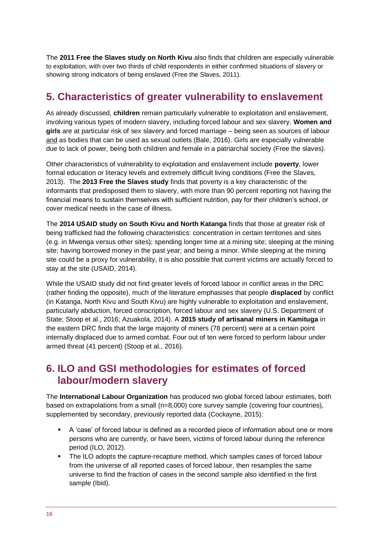The **2011 Free the Slaves study on North Kivu** also finds that children are especially vulnerable to exploitation, with over two thirds of child respondents in either confirmed situations of slavery or showing strong indicators of being enslaved (Free the Slaves, 2011).

# <span id="page-15-0"></span>**5. Characteristics of greater vulnerability to enslavement**

As already discussed, **children** remain particularly vulnerable to exploitation and enslavement, involving various types of modern slavery, including forced labour and sex slavery. **Women and girls** are at particular risk of sex slavery and forced marriage – being seen as sources of labour and as bodies that can be used as sexual outlets (Bale, 2016). Girls are especially vulnerable due to lack of power, being both children and female in a patriarchal society (Free the slaves).

Other characteristics of vulnerability to exploitation and enslavement include **poverty**, lower formal education or literacy levels and extremely difficult living conditions (Free the Slaves, 2013). The **2013 Free the Slaves study** finds that poverty is a key characteristic of the informants that predisposed them to slavery, with more than 90 percent reporting not having the financial means to sustain themselves with sufficient nutrition, pay for their children's school, or cover medical needs in the case of illness.

The **2014 USAID study on South Kivu and North Katanga** finds that those at greater risk of being trafficked had the following characteristics: concentration in certain territories and sites (e.g. in Mwenga versus other sites); spending longer time at a mining site; sleeping at the mining site; having borrowed money in the past year; and being a minor. While sleeping at the mining site could be a proxy for vulnerability, it is also possible that current victims are actually forced to stay at the site (USAID, 2014).

While the USAID study did not find greater levels of forced labour in conflict areas in the DRC (rather finding the opposite), much of the literature emphasises that people **displaced** by conflict (in Katanga, North Kivu and South Kivu) are highly vulnerable to exploitation and enslavement, particularly abduction, forced conscription, forced labour and sex slavery (U.S. Department of State; Stoop et al., 2016; Azuakola, 2014). A **2015 study of artisanal miners in Kamituga** in the eastern DRC finds that the large majority of miners (78 percent) were at a certain point internally displaced due to armed combat. Four out of ten were forced to perform labour under armed threat (41 percent) (Stoop et al., 2016).

# <span id="page-15-1"></span>**6. ILO and GSI methodologies for estimates of forced labour/modern slavery**

The **International Labour Organization** has produced two global forced labour estimates, both based on extrapolations from a small (n=8,000) core survey sample (covering four countries), supplemented by secondary, previously reported data (Cockayne, 2015):

- A 'case' of forced labour is defined as a recorded piece of information about one or more persons who are currently, or have been, victims of forced labour during the reference period (ILO, 2012).
- The ILO adopts the capture-recapture method, which samples cases of forced labour from the universe of all reported cases of forced labour, then resamples the same universe to find the fraction of cases in the second sample also identified in the first sample (Ibid).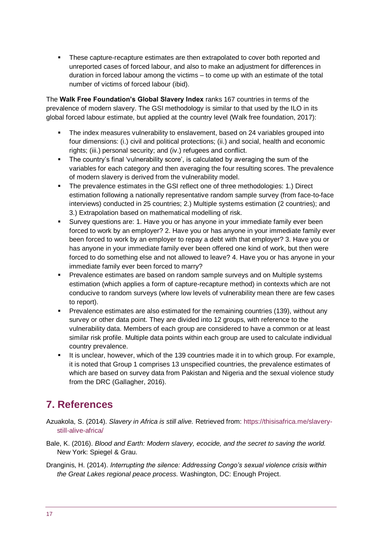▪ These capture-recapture estimates are then extrapolated to cover both reported and unreported cases of forced labour, and also to make an adjustment for differences in duration in forced labour among the victims – to come up with an estimate of the total number of victims of forced labour (ibid).

The **Walk Free Foundation's Global Slavery Index** ranks 167 countries in terms of the prevalence of modern slavery. The GSI methodology is similar to that used by the ILO in its global forced labour estimate, but applied at the country level (Walk free foundation, 2017):

- The index measures vulnerability to enslavement, based on 24 variables grouped into four dimensions: (i.) civil and political protections; (ii.) and social, health and economic rights; (iii.) personal security; and (iv.) refugees and conflict.
- **•** The country's final 'vulnerability score', is calculated by averaging the sum of the variables for each category and then averaging the four resulting scores. The prevalence of modern slavery is derived from the vulnerability model.
- The prevalence estimates in the GSI reflect one of three methodologies: 1.) Direct estimation following a nationally representative random sample survey (from face-to-face interviews) conducted in 25 countries; 2.) Multiple systems estimation (2 countries); and 3.) Extrapolation based on mathematical modelling of risk.
- **EXECT** Survey questions are: 1. Have you or has anyone in your immediate family ever been forced to work by an employer? 2. Have you or has anyone in your immediate family ever been forced to work by an employer to repay a debt with that employer? 3. Have you or has anyone in your immediate family ever been offered one kind of work, but then were forced to do something else and not allowed to leave? 4. Have you or has anyone in your immediate family ever been forced to marry?
- Prevalence estimates are based on random sample surveys and on Multiple systems estimation (which applies a form of capture-recapture method) in contexts which are not conducive to random surveys (where low levels of vulnerability mean there are few cases to report).
- Prevalence estimates are also estimated for the remaining countries (139), without any survey or other data point. They are divided into 12 groups, with reference to the vulnerability data. Members of each group are considered to have a common or at least similar risk profile. Multiple data points within each group are used to calculate individual country prevalence.
- It is unclear, however, which of the 139 countries made it in to which group. For example, it is noted that Group 1 comprises 13 unspecified countries, the prevalence estimates of which are based on survey data from Pakistan and Nigeria and the sexual violence study from the DRC (Gallagher, 2016).

# <span id="page-16-0"></span>**7. References**

- Azuakola, S. (2014). *Slavery in Africa is still alive.* Retrieved from: [https://thisisafrica.me/slavery](https://thisisafrica.me/slavery-still-alive-africa/)[still-alive-africa/](https://thisisafrica.me/slavery-still-alive-africa/)
- Bale, K. (2016). *Blood and Earth: Modern slavery, ecocide, and the secret to saving the world.*  New York: Spiegel & Grau.
- Dranginis, H. (2014). *Interrupting the silence: Addressing Congo's sexual violence crisis within the Great Lakes regional peace process.* Washington, DC: Enough Project.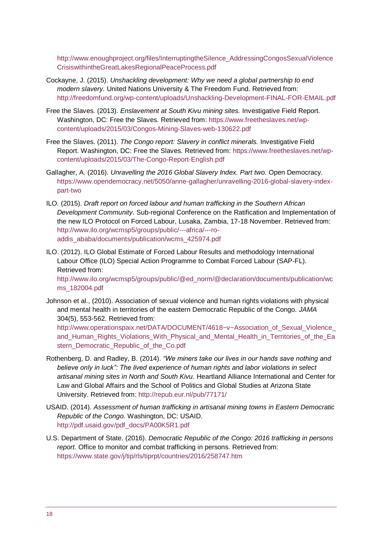[http://www.enoughproject.org/files/InterruptingtheSilence\\_AddressingCongosSexualViolence](http://www.enoughproject.org/files/InterruptingtheSilence_AddressingCongosSexualViolenceCrisiswithintheGreatLakesRegionalPeaceProcess.pdf) [CrisiswithintheGreatLakesRegionalPeaceProcess.pdf](http://www.enoughproject.org/files/InterruptingtheSilence_AddressingCongosSexualViolenceCrisiswithintheGreatLakesRegionalPeaceProcess.pdf)

- Cockayne, J. (2015). *Unshackling development: Why we need a global partnership to end modern slavery.* United Nations University & The Freedom Fund. Retrieved from: <http://freedomfund.org/wp-content/uploads/Unshackling-Development-FINAL-FOR-EMAIL.pdf>
- Free the Slaves. (2013). *Enslavement at South Kivu mining sites.* Investigative Field Report. Washington, DC: Free the Slaves. Retrieved from: [https://www.freetheslaves.net/wp](https://www.freetheslaves.net/wp-content/uploads/2015/03/Congos-Mining-Slaves-web-130622.pdf)[content/uploads/2015/03/Congos-Mining-Slaves-web-130622.pdf](https://www.freetheslaves.net/wp-content/uploads/2015/03/Congos-Mining-Slaves-web-130622.pdf)
- Free the Slaves. (2011). *The Congo report: Slavery in conflict minerals.* Investigative Field Report. Washington, DC: Free the Slaves. Retrieved from[: https://www.freetheslaves.net/wp](https://www.freetheslaves.net/wp-content/uploads/2015/03/The-Congo-Report-English.pdf)[content/uploads/2015/03/The-Congo-Report-English.pdf](https://www.freetheslaves.net/wp-content/uploads/2015/03/The-Congo-Report-English.pdf)
- Gallagher, A. (2016). *Unravelling the 2016 Global Slavery Index. Part two.* Open Democracy. [https://www.opendemocracy.net/5050/anne-gallagher/unravelling-2016-global-slavery-index](https://www.opendemocracy.net/5050/anne-gallagher/unravelling-2016-global-slavery-index-part-two)[part-two](https://www.opendemocracy.net/5050/anne-gallagher/unravelling-2016-global-slavery-index-part-two)
- ILO. (2015). *Draft report on forced labour and human trafficking in the Southern African Development Community.* Sub-regional Conference on the Ratification and Implementation of the new ILO Protocol on Forced Labour, Lusaka, Zambia, 17-18 November. Retrieved from: [http://www.ilo.org/wcmsp5/groups/public/---africa/---ro](http://www.ilo.org/wcmsp5/groups/public/---africa/---ro-addis_ababa/documents/publication/wcms_425974.pdf)[addis\\_ababa/documents/publication/wcms\\_425974.pdf](http://www.ilo.org/wcmsp5/groups/public/---africa/---ro-addis_ababa/documents/publication/wcms_425974.pdf)
- ILO. (2012). ILO Global Estimate of Forced Labour Results and methodology International Labour Office (ILO) Special Action Programme to Combat Forced Labour (SAP-FL). Retrieved from: [http://www.ilo.org/wcmsp5/groups/public/@ed\\_norm/@declaration/documents/publication/wc](http://www.ilo.org/wcmsp5/groups/public/@ed_norm/@declaration/documents/publication/wcms_182004.pdf)

[ms\\_182004.pdf](http://www.ilo.org/wcmsp5/groups/public/@ed_norm/@declaration/documents/publication/wcms_182004.pdf)

Johnson et al., (2010). Association of sexual violence and human rights violations with physical and mental health in territories of the eastern Democratic Republic of the Congo. *JAMA* 304(5), 553-562. Retrieved from:

http://www.operationspaix.net/DATA/DOCUMENT/4618~v~Association\_of\_Sexual\_Violence [and\\_Human\\_Rights\\_Violations\\_With\\_Physical\\_and\\_Mental\\_Health\\_in\\_Territories\\_of\\_the\\_Ea](http://www.operationspaix.net/DATA/DOCUMENT/4618~v~Association_of_Sexual_Violence_and_Human_Rights_Violations_With_Physical_and_Mental_Health_in_Territories_of_the_Eastern_Democratic_Republic_of_the_Co.pdf) [stern\\_Democratic\\_Republic\\_of\\_the\\_Co.pdf](http://www.operationspaix.net/DATA/DOCUMENT/4618~v~Association_of_Sexual_Violence_and_Human_Rights_Violations_With_Physical_and_Mental_Health_in_Territories_of_the_Eastern_Democratic_Republic_of_the_Co.pdf)

- Rothenberg, D. and Radley, B. (2014). *"We miners take our lives in our hands save nothing and believe only in luck": The lived experience of human rights and labor violations in select artisanal mining sites in North and South Kivu*. Heartland Alliance International and Center for Law and Global Affairs and the School of Politics and Global Studies at Arizona State University. Retrieved from:<http://repub.eur.nl/pub/77171/>
- USAID. (2014). *Assessment of human trafficking in artisanal mining towns in Eastern Democratic Republic of the Congo.* Washington, DC: USAID. [http://pdf.usaid.gov/pdf\\_docs/PA00K5R1.pdf](http://pdf.usaid.gov/pdf_docs/PA00K5R1.pdf)
- U.S. Department of State. (2016). *Democratic Republic of the Congo: 2016 trafficking in persons report.* Office to monitor and combat trafficking in persons. Retrieved from: <https://www.state.gov/j/tip/rls/tiprpt/countries/2016/258747.htm>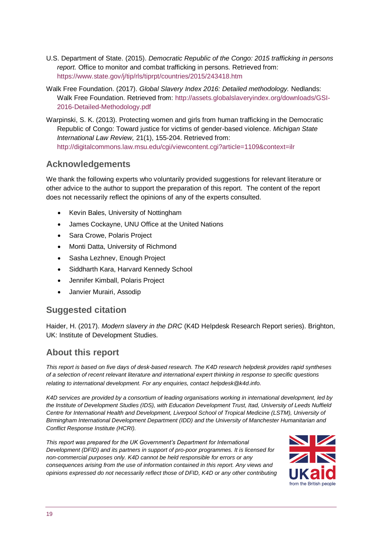- U.S. Department of State. (2015). *Democratic Republic of the Congo: 2015 trafficking in persons report.* Office to monitor and combat trafficking in persons. Retrieved from: <https://www.state.gov/j/tip/rls/tiprpt/countries/2015/243418.htm>
- Walk Free Foundation. (2017). *Global Slavery Index 2016: Detailed methodology.* Nedlands: Walk Free Foundation. Retrieved from: [http://assets.globalslaveryindex.org/downloads/GSI-](http://assets.globalslaveryindex.org/downloads/GSI-2016-Detailed-Methodology.pdf)[2016-Detailed-Methodology.pdf](http://assets.globalslaveryindex.org/downloads/GSI-2016-Detailed-Methodology.pdf)
- Warpinski, S. K. (2013). Protecting women and girls from human trafficking in the Democratic Republic of Congo: Toward justice for victims of gender-based violence. *Michigan State International Law Review,* 21(1), 155-204. Retrieved from: <http://digitalcommons.law.msu.edu/cgi/viewcontent.cgi?article=1109&context=ilr>

# **Acknowledgements**

We thank the following experts who voluntarily provided suggestions for relevant literature or other advice to the author to support the preparation of this report. The content of the report does not necessarily reflect the opinions of any of the experts consulted.

- Kevin Bales, University of Nottingham
- James Cockayne, UNU Office at the United Nations
- Sara Crowe, Polaris Project
- Monti Datta, University of Richmond
- Sasha Lezhnev, Enough Project
- Siddharth Kara, Harvard Kennedy School
- Jennifer Kimball, Polaris Project
- Janvier Murairi, Assodip

# **Suggested citation**

Haider, H. (2017). *Modern slavery in the DRC* (K4D Helpdesk Research Report series). Brighton, UK: Institute of Development Studies.

# **About this report**

*This report is based on five days of desk-based research. The K4D research helpdesk provides rapid syntheses of a selection of recent relevant literature and international expert thinking in response to specific questions relating to international development. For any enquiries, contact helpdesk@k4d.info.*

*K4D services are provided by a consortium of leading organisations working in international development, led by the Institute of Development Studies (IDS), with Education Development Trust, Itad, University of Leeds Nuffield*  Centre for International Health and Development, Liverpool School of Tropical Medicine (LSTM), University of *Birmingham International Development Department (IDD) and the University of Manchester Humanitarian and Conflict Response Institute (HCRI).*

*This report was prepared for the UK Government's Department for International Development (DFID) and its partners in support of pro-poor programmes. It is licensed for non-commercial purposes only. K4D cannot be held responsible for errors or any consequences arising from the use of information contained in this report. Any views and opinions expressed do not necessarily reflect those of DFID, K4D or any other contributing*